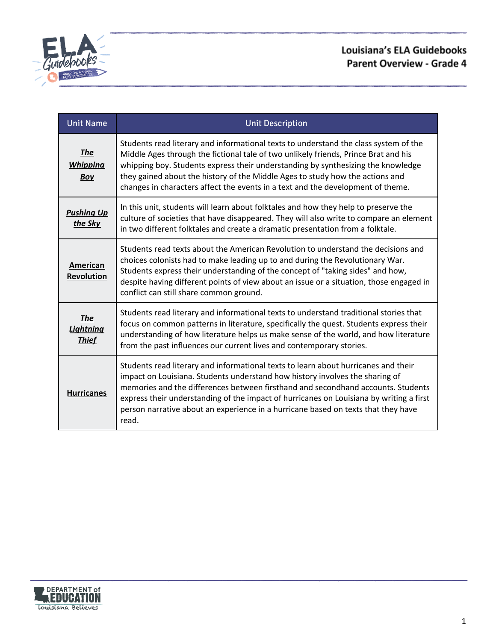

# Louisiana's ELA Guidebooks Parent Overview - Grade 4

| <b>Unit Name</b>                               | <b>Unit Description</b>                                                                                                                                                                                                                                                                                                                                                                                                                         |
|------------------------------------------------|-------------------------------------------------------------------------------------------------------------------------------------------------------------------------------------------------------------------------------------------------------------------------------------------------------------------------------------------------------------------------------------------------------------------------------------------------|
| <b>The</b><br><b>Whipping</b><br><b>Boy</b>    | Students read literary and informational texts to understand the class system of the<br>Middle Ages through the fictional tale of two unlikely friends, Prince Brat and his<br>whipping boy. Students express their understanding by synthesizing the knowledge<br>they gained about the history of the Middle Ages to study how the actions and<br>changes in characters affect the events in a text and the development of theme.             |
| <b>Pushing Up</b><br>the Sky                   | In this unit, students will learn about folktales and how they help to preserve the<br>culture of societies that have disappeared. They will also write to compare an element<br>in two different folktales and create a dramatic presentation from a folktale.                                                                                                                                                                                 |
| American<br><b>Revolution</b>                  | Students read texts about the American Revolution to understand the decisions and<br>choices colonists had to make leading up to and during the Revolutionary War.<br>Students express their understanding of the concept of "taking sides" and how,<br>despite having different points of view about an issue or a situation, those engaged in<br>conflict can still share common ground.                                                      |
| <b>The</b><br><b>Lightning</b><br><b>Thief</b> | Students read literary and informational texts to understand traditional stories that<br>focus on common patterns in literature, specifically the quest. Students express their<br>understanding of how literature helps us make sense of the world, and how literature<br>from the past influences our current lives and contemporary stories.                                                                                                 |
| <b>Hurricanes</b>                              | Students read literary and informational texts to learn about hurricanes and their<br>impact on Louisiana. Students understand how history involves the sharing of<br>memories and the differences between firsthand and secondhand accounts. Students<br>express their understanding of the impact of hurricanes on Louisiana by writing a first<br>person narrative about an experience in a hurricane based on texts that they have<br>read. |

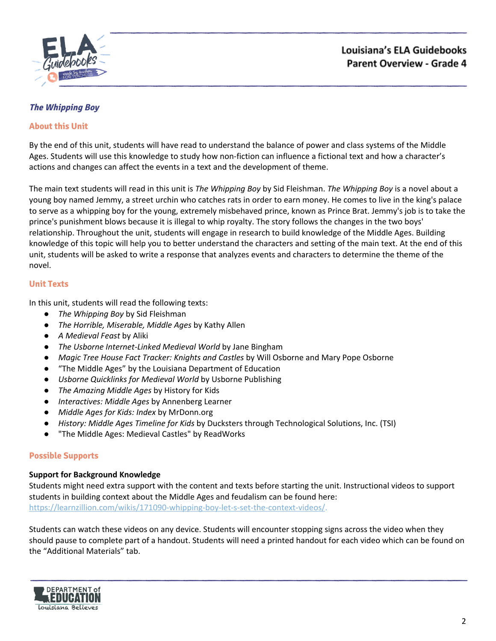

## <span id="page-1-0"></span>**The Whipping Boy**

## **About this Unit**

By the end of this unit, students will have read to understand the balance of power and class systems of the Middle Ages. Students will use this knowledge to study how non-fiction can influence a fictional text and how a character's actions and changes can affect the events in a text and the development of theme.

The main text students will read in this unit is *The Whipping Boy* by Sid Fleishman. *The Whipping Boy* is a novel about a young boy named Jemmy, a street urchin who catches rats in order to earn money. He comes to live in the king's palace to serve as a whipping boy for the young, extremely misbehaved prince, known as Prince Brat. Jemmy's job is to take the prince's punishment blows because it is illegal to whip royalty. The story follows the changes in the two boys' relationship. Throughout the unit, students will engage in research to build knowledge of the Middle Ages. Building knowledge of this topic will help you to better understand the characters and setting of the main text. At the end of this unit, students will be asked to write a response that analyzes events and characters to determine the theme of the novel.

### **Unit Texts**

In this unit, students will read the following texts:

- *The Whipping Boy by Sid Fleishman*
- *The Horrible, Miserable, Middle Ages* by Kathy Allen
- *A Medieval Feast* by Aliki
- *The Usborne Internet-Linked Medieval World* by Jane Bingham
- *Magic Tree House Fact Tracker: Knights and Castles* by Will Osborne and Mary Pope Osborne
- *●* "The Middle Ages" by the Louisiana Department of Education
- *● Usborne Quicklinks for Medieval World* by Usborne Publishing
- *● The Amazing Middle Ages* by History for Kids
- *● Interactives: Middle Ages* by Annenberg Learner
- *● Middle Ages for Kids: Index* by MrDonn.org
- *● History: Middle Ages Timeline for Kids* by Ducksters through Technological Solutions, Inc. (TSI)
- "The Middle Ages: Medieval Castles" by ReadWorks

### **Possible Supports**

### **Support for Background Knowledge**

Students might need extra support with the content and texts before starting the unit. Instructional videos to support students in building context about the Middle Ages and feudalism can be found here: <https://learnzillion.com/wikis/171090-whipping-boy-let-s-set-the-context-videos/>.

Students can watch these videos on any device. Students will encounter stopping signs across the video when they should pause to complete part of a handout. Students will need a printed handout for each video which can be found on the "Additional Materials" tab.

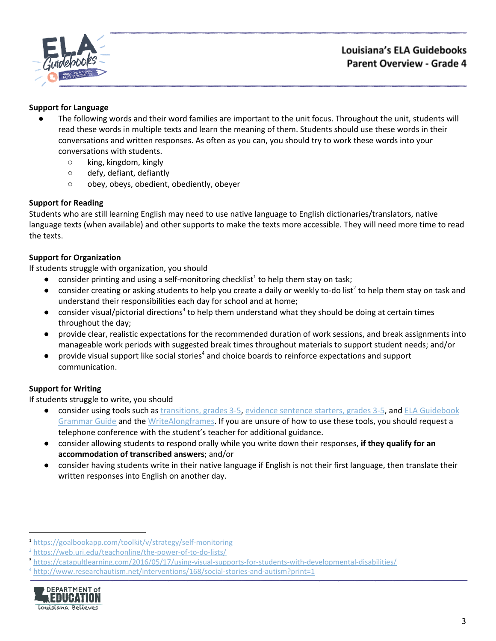

## **Support for Language**

- The following words and their word families are important to the unit focus. Throughout the unit, students will read these words in multiple texts and learn the meaning of them. Students should use these words in their conversations and written responses. As often as you can, you should try to work these words into your conversations with students.
	- king, kingdom, kingly
	- defy, defiant, defiantly
	- obey, obeys, obedient, obediently, obeyer

## **Support for Reading**

Students who are still learning English may need to use native language to English dictionaries/translators, native language texts (when available) and other supports to make the texts more accessible. They will need more time to read the texts.

### **Support for Organization**

If students struggle with organization, you should

- $\bullet$  consider printing and using a self-monitoring checklist<sup>1</sup> to help them stay on task;
- $\bullet$  consider creating or asking students to help you create a daily or weekly to-do list<sup>2</sup> to help them stay on task and understand their responsibilities each day for school and at home;
- $\bullet$  consider visual/pictorial directions<sup>3</sup> to help them understand what they should be doing at certain times throughout the day;
- provide clear, realistic expectations for the recommended duration of work sessions, and break assignments into manageable work periods with suggested break times throughout materials to support student needs; and/or
- $\bullet$  provide visual support like social stories<sup>4</sup> and choice boards to reinforce expectations and support communication.

## **Support for Writing**

- consider using tools such as [transitions,](https://learnzillion.com/resources/157892/) grades 3-5, evidence [sentence](https://learnzillion.com/resources/157864/) starters, grades 3-5, and ELA [Guidebook](https://learnzillion.com/resources/81043) [Grammar](https://learnzillion.com/resources/81043) Guide and th[e](https://learnzillion.com/resources/39149-writealong) [WriteAlong](https://learnzillion.com/resources/39149-writealong)[frames.](https://learnzillion.com/resources/116858/) If you are unsure of how to use these tools, you should request a telephone conference with the student's teacher for additional guidance.
- consider allowing students to respond orally while you write down their responses, **if they qualify for an accommodation of transcribed answers**; and/or
- **●** consider having students write in their native language if English is not their first language, then translate their written responses into English on another day.

<sup>4</sup> <http://www.researchautism.net/interventions/168/social-stories-and-autism?print=1>



<sup>1</sup> <https://goalbookapp.com/toolkit/v/strategy/self-monitoring>

<sup>&</sup>lt;sup>2</sup> <https://web.uri.edu/teachonline/the-power-of-to-do-lists/>

<sup>3</sup> <https://catapultlearning.com/2016/05/17/using-visual-supports-for-students-with-developmental-disabilities/>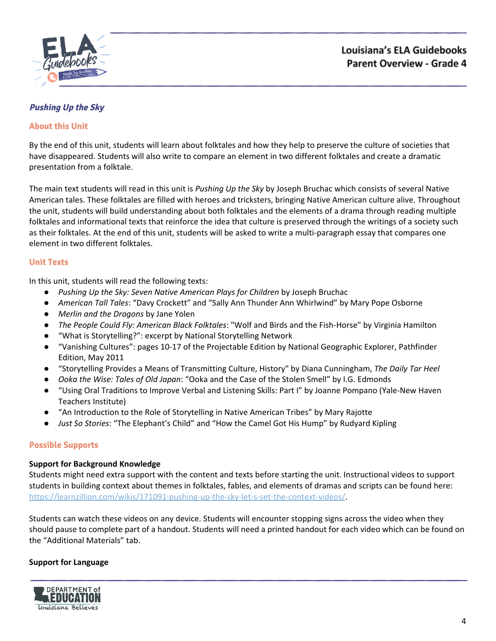

# <span id="page-3-0"></span>**Pushing Up the Sky**

## **About this Unit**

By the end of this unit, students will learn about folktales and how they help to preserve the culture of societies that have disappeared. Students will also write to compare an element in two different folktales and create a dramatic presentation from a folktale.

The main text students will read in this unit is *Pushing Up the Sky* by Joseph Bruchac which consists of several Native American tales. These folktales are filled with heroes and tricksters, bringing Native American culture alive. Throughout the unit, students will build understanding about both folktales and the elements of a drama through reading multiple folktales and informational texts that reinforce the idea that culture is preserved through the writings of a society such as their folktales. At the end of this unit, students will be asked to write a multi-paragraph essay that compares one element in two different folktales.

### **Unit Texts**

In this unit, students will read the following texts:

- *Pushing Up the Sky: Seven Native American Plays for Children* by Joseph Bruchac
- *American Tall Tales*: "Davy Crockett" and "Sally Ann Thunder Ann Whirlwind" by Mary Pope Osborne
- *Merlin and the Dragons* by Jane Yolen
- *● The People Could Fly: American Black Folktales*: "Wolf and Birds and the Fish-Horse" by Virginia Hamilton
- "What is Storytelling?": excerpt by National Storytelling Network
- "Vanishing Cultures": pages 10-17 of the Projectable Edition by National Geographic Explorer, Pathfinder Edition, May 2011
- *●* "Storytelling Provides a Means of Transmitting Culture, History" by Diana Cunningham, *The Daily Tar Heel*
- *● Ooka the Wise: Tales of Old Japan*: "Ooka and the Case of the Stolen Smell" by I.G. Edmonds
- "Using Oral Traditions to Improve Verbal and Listening Skills: Part I" by Joanne Pompano (Yale-New Haven Teachers Institute)
- "An Introduction to the Role of Storytelling in Native American Tribes" by Mary Rajotte
- *● Just So Stories*: "The Elephant's Child" and "How the Camel Got His Hump" by Rudyard Kipling

### **Possible Supports**

### **Support for Background Knowledge**

Students might need extra support with the content and texts before starting the unit. Instructional videos to support students in building context about themes in folktales, fables, and elements of dramas and scripts can be found here: <https://learnzillion.com/wikis/171091-pushing-up-the-sky-let-s-set-the-context-videos/>.

Students can watch these videos on any device. Students will encounter stopping signs across the video when they should pause to complete part of a handout. Students will need a printed handout for each video which can be found on the "Additional Materials" tab.

### **Support for Language**

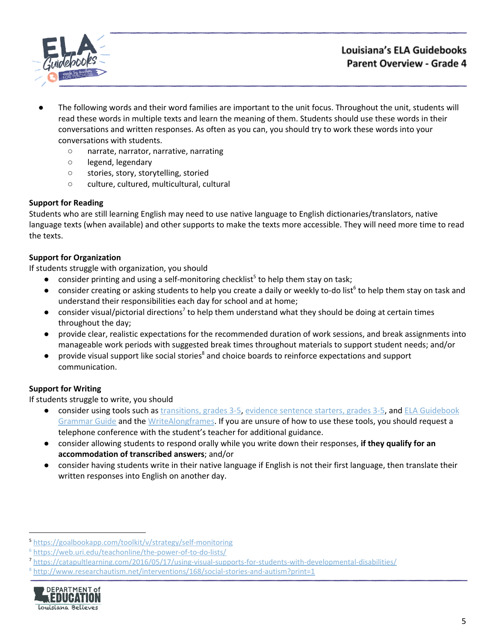

# Louisiana's ELA Guidebooks Parent Overview - Grade 4

- The following words and their word families are important to the unit focus. Throughout the unit, students will read these words in multiple texts and learn the meaning of them. Students should use these words in their conversations and written responses. As often as you can, you should try to work these words into your conversations with students.
	- narrate, narrator, narrative, narrating
	- legend, legendary
	- stories, story, storytelling, storied
	- culture, cultured, multicultural, cultural

## **Support for Reading**

Students who are still learning English may need to use native language to English dictionaries/translators, native language texts (when available) and other supports to make the texts more accessible. They will need more time to read the texts.

# **Support for Organization**

If students struggle with organization, you should

- $\bullet$  consider printing and using a self-monitoring checklist<sup>5</sup> to help them stay on task;
- $\bullet$  consider creating or asking students to help you create a daily or weekly to-do list<sup>6</sup> to help them stay on task and understand their responsibilities each day for school and at home;
- $\bullet$  consider visual/pictorial directions<sup>7</sup> to help them understand what they should be doing at certain times throughout the day;
- provide clear, realistic expectations for the recommended duration of work sessions, and break assignments into manageable work periods with suggested break times throughout materials to support student needs; and/or
- provide visual support like social stories<sup>8</sup> and choice boards to reinforce expectations and support communication.

# **Support for Writing**

- consider using tools such as [transitions,](https://learnzillion.com/resources/157892/) grades 3-5, evidence [sentence](https://learnzillion.com/resources/157864/) starters, grades 3-5, and ELA [Guidebook](https://learnzillion.com/resources/81043) [Grammar](https://learnzillion.com/resources/81043) Guide and th[e](https://learnzillion.com/resources/39149-writealong) [WriteAlong](https://learnzillion.com/resources/39149-writealong)[frames.](https://learnzillion.com/resources/116858/) If you are unsure of how to use these tools, you should request a telephone conference with the student's teacher for additional guidance.
- consider allowing students to respond orally while you write down their responses, **if they qualify for an accommodation of transcribed answers**; and/or
- **●** consider having students write in their native language if English is not their first language, then translate their written responses into English on another day.

<sup>8</sup> <http://www.researchautism.net/interventions/168/social-stories-and-autism?print=1>



<sup>5</sup> <https://goalbookapp.com/toolkit/v/strategy/self-monitoring>

<sup>6</sup> <https://web.uri.edu/teachonline/the-power-of-to-do-lists/>

<sup>7</sup> <https://catapultlearning.com/2016/05/17/using-visual-supports-for-students-with-developmental-disabilities/>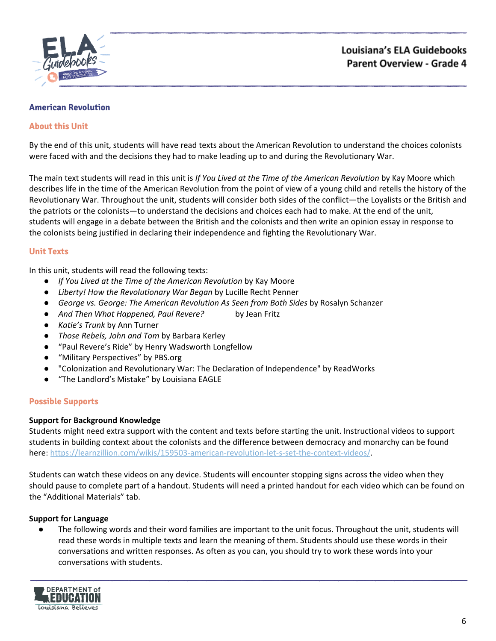

### <span id="page-5-0"></span>**American Revolution**

## **About this Unit**

By the end of this unit, students will have read texts about the American Revolution to understand the choices colonists were faced with and the decisions they had to make leading up to and during the Revolutionary War.

The main text students will read in this unit is *If You Lived at the Time of the American Revolution* by Kay Moore which describes life in the time of the American Revolution from the point of view of a young child and retells the history of the Revolutionary War. Throughout the unit, students will consider both sides of the conflict—the Loyalists or the British and the patriots or the colonists—to understand the decisions and choices each had to make. At the end of the unit, students will engage in a debate between the British and the colonists and then write an opinion essay in response to the colonists being justified in declaring their independence and fighting the Revolutionary War.

### **Unit Texts**

In this unit, students will read the following texts:

- *If You Lived at the Time of the American Revolution* by Kay Moore
- *Liberty! How the Revolutionary War Began* by Lucille Recht Penner
- *George vs. George: The American Revolution As Seen from Both Sides* by Rosalyn Schanzer
- *And Then What Happened, Paul Revere?* by Jean Fritz
- *Katie's Trunk* by Ann Turner
- *Those Rebels, John and Tom* by Barbara Kerley
- "Paul Revere's Ride" by Henry Wadsworth Longfellow
- "Military Perspectives" by PBS.org
- "Colonization and Revolutionary War: The Declaration of Independence" by ReadWorks
- "The Landlord's Mistake" by Louisiana EAGLE

### **Possible Supports**

### **Support for Background Knowledge**

Students might need extra support with the content and texts before starting the unit. Instructional videos to support students in building context about the colonists and the difference between democracy and monarchy can be found here: [https://learnzillion.com/wikis/159503-american-revolution-let-s-set-the-context-videos/.](https://learnzillion.com/wikis/159503-american-revolution-let-s-set-the-context-videos/)

Students can watch these videos on any device. Students will encounter stopping signs across the video when they should pause to complete part of a handout. Students will need a printed handout for each video which can be found on the "Additional Materials" tab.

### **Support for Language**

The following words and their word families are important to the unit focus. Throughout the unit, students will read these words in multiple texts and learn the meaning of them. Students should use these words in their conversations and written responses. As often as you can, you should try to work these words into your conversations with students.

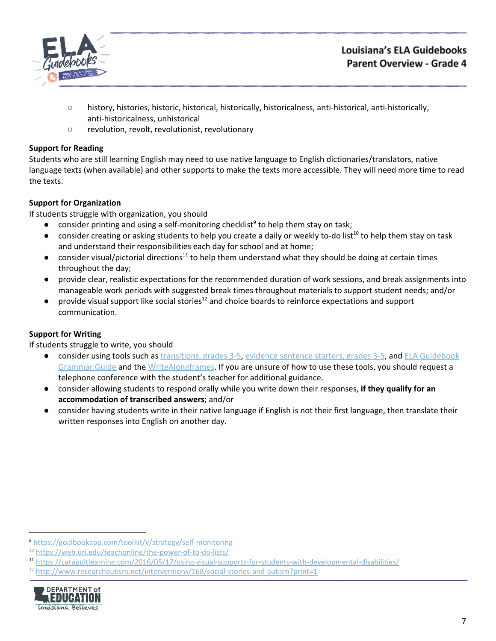

# Louisiana's ELA Guidebooks Parent Overview - Grade 4

- history, histories, historic, historical, historically, historicalness, anti-historical, anti-historically, anti-historicalness, unhistorical
- revolution, revolt, revolutionist, revolutionary

# **Support for Reading**

Students who are still learning English may need to use native language to English dictionaries/translators, native language texts (when available) and other supports to make the texts more accessible. They will need more time to read the texts.

# **Support for Organization**

If students struggle with organization, you should

- $\bullet$  consider printing and using a self-monitoring checklist<sup>9</sup> to help them stay on task;
- $\bullet$  consider creating or asking students to help you create a daily or weekly to-do list<sup>10</sup> to help them stay on task and understand their responsibilities each day for school and at home;
- consider visual/pictorial directions<sup>11</sup> to help them understand what they should be doing at certain times throughout the day;
- provide clear, realistic expectations for the recommended duration of work sessions, and break assignments into manageable work periods with suggested break times throughout materials to support student needs; and/or
- $\bullet$  provide visual support like social stories<sup>12</sup> and choice boards to reinforce expectations and support communication.

# **Support for Writing**

- consider using tools such as [transitions,](https://learnzillion.com/resources/157892/) grades 3-5, evidence [sentence](https://learnzillion.com/resources/157864/) starters, grades 3-5, and ELA [Guidebook](https://learnzillion.com/resources/81043) [Grammar](https://learnzillion.com/resources/81043) Guide and th[e](https://learnzillion.com/resources/39149-writealong) [WriteAlong](https://learnzillion.com/resources/39149-writealong)[frames.](https://learnzillion.com/resources/116858/) If you are unsure of how to use these tools, you should request a telephone conference with the student's teacher for additional guidance.
- consider allowing students to respond orally while you write down their responses, **if they qualify for an accommodation of transcribed answers**; and/or
- **●** consider having students write in their native language if English is not their first language, then translate their written responses into English on another day.

 $12$  <http://www.researchautism.net/interventions/168/social-stories-and-autism?print=1>



<sup>9</sup> <https://goalbookapp.com/toolkit/v/strategy/self-monitoring>

<sup>&</sup>lt;sup>10</sup> <https://web.uri.edu/teachonline/the-power-of-to-do-lists/>

<sup>11</sup> <https://catapultlearning.com/2016/05/17/using-visual-supports-for-students-with-developmental-disabilities/>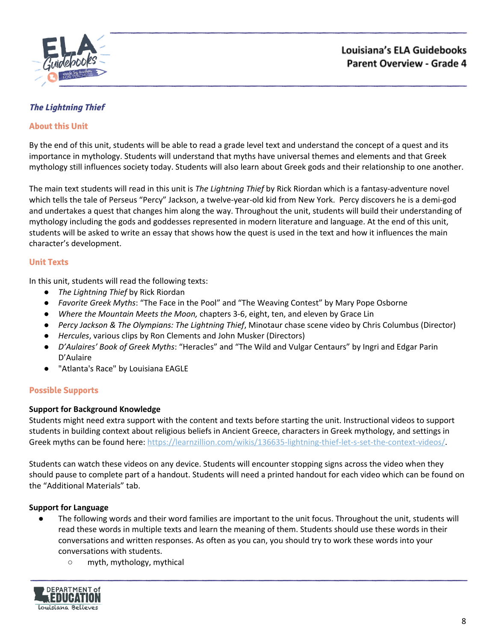

# <span id="page-7-0"></span>**The Lightning Thief**

## **About this Unit**

By the end of this unit, students will be able to read a grade level text and understand the concept of a quest and its importance in mythology. Students will understand that myths have universal themes and elements and that Greek mythology still influences society today. Students will also learn about Greek gods and their relationship to one another.

The main text students will read in this unit is *The Lightning Thief* by Rick Riordan which is a fantasy-adventure novel which tells the tale of Perseus "Percy" Jackson, a twelve-year-old kid from New York. Percy discovers he is a demi-god and undertakes a quest that changes him along the way. Throughout the unit, students will build their understanding of mythology including the gods and goddesses represented in modern literature and language. At the end of this unit, students will be asked to write an essay that shows how the quest is used in the text and how it influences the main character's development.

### **Unit Texts**

In this unit, students will read the following texts:

- *The Lightning Thief* by Rick Riordan
- *Favorite Greek Myths*: "The Face in the Pool" and "The Weaving Contest" by Mary Pope Osborne
- *Where the Mountain Meets the Moon,* chapters 3-6, eight, ten, and eleven by Grace Lin
- *Percy Jackson & The Olympians: The Lightning Thief*, Minotaur chase scene video by Chris Columbus (Director)
- *Hercules*, various clips by Ron Clements and John Musker (Directors)
- *D'Aulaires' Book of Greek Myths*: "Heracles" and "The Wild and Vulgar Centaurs" by Ingri and Edgar Parin D'Aulaire
- "Atlanta's Race" by Louisiana EAGLE

### **Possible Supports**

### **Support for Background Knowledge**

Students might need extra support with the content and texts before starting the unit. Instructional videos to support students in building context about religious beliefs in Ancient Greece, characters in Greek mythology, and settings in Greek myths can be found here: [https://learnzillion.com/wikis/136635-lightning-thief-let-s-set-the-context-videos/.](https://learnzillion.com/wikis/136635-lightning-thief-let-s-set-the-context-videos/)

Students can watch these videos on any device. Students will encounter stopping signs across the video when they should pause to complete part of a handout. Students will need a printed handout for each video which can be found on the "Additional Materials" tab.

### **Support for Language**

- The following words and their word families are important to the unit focus. Throughout the unit, students will read these words in multiple texts and learn the meaning of them. Students should use these words in their conversations and written responses. As often as you can, you should try to work these words into your conversations with students.
	- myth, mythology, mythical

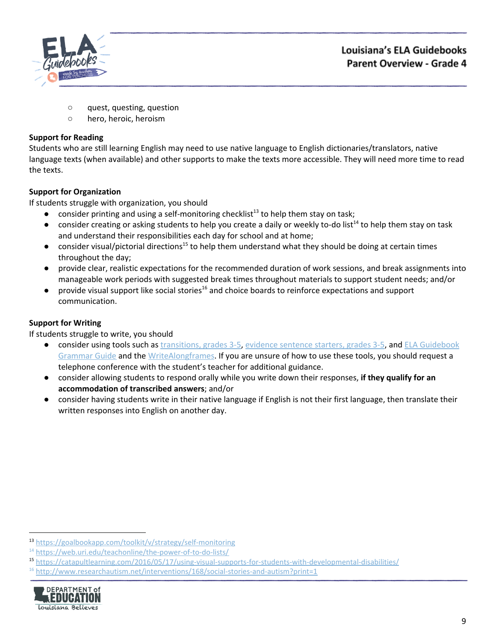

- quest, questing, question
- hero, heroic, heroism

# **Support for Reading**

Students who are still learning English may need to use native language to English dictionaries/translators, native language texts (when available) and other supports to make the texts more accessible. They will need more time to read the texts.

# **Support for Organization**

If students struggle with organization, you should

- $\bullet$  consider printing and using a self-monitoring checklist<sup>13</sup> to help them stay on task;
- $\bullet$  consider creating or asking students to help you create a daily or weekly to-do list<sup>14</sup> to help them stay on task and understand their responsibilities each day for school and at home;
- $\bullet$  consider visual/pictorial directions<sup>15</sup> to help them understand what they should be doing at certain times throughout the day;
- provide clear, realistic expectations for the recommended duration of work sessions, and break assignments into manageable work periods with suggested break times throughout materials to support student needs; and/or
- $\bullet$  provide visual support like social stories<sup>16</sup> and choice boards to reinforce expectations and support communication.

# **Support for Writing**

- consider using tools such as [transitions,](https://learnzillion.com/resources/157892/) grades 3-5, evidence [sentence](https://learnzillion.com/resources/157864/) starters, grades 3-5, and ELA [Guidebook](https://learnzillion.com/resources/81043) [Grammar](https://learnzillion.com/resources/81043) Guide and th[e](https://learnzillion.com/resources/39149-writealong) [WriteAlong](https://learnzillion.com/resources/39149-writealong)[frames.](https://learnzillion.com/resources/116858/) If you are unsure of how to use these tools, you should request a telephone conference with the student's teacher for additional guidance.
- consider allowing students to respond orally while you write down their responses, **if they qualify for an accommodation of transcribed answers**; and/or
- **●** consider having students write in their native language if English is not their first language, then translate their written responses into English on another day.

 $16$  <http://www.researchautism.net/interventions/168/social-stories-and-autism?print=1>



<sup>13</sup> <https://goalbookapp.com/toolkit/v/strategy/self-monitoring>

<sup>&</sup>lt;sup>14</sup> <https://web.uri.edu/teachonline/the-power-of-to-do-lists/>

<sup>15</sup> <https://catapultlearning.com/2016/05/17/using-visual-supports-for-students-with-developmental-disabilities/>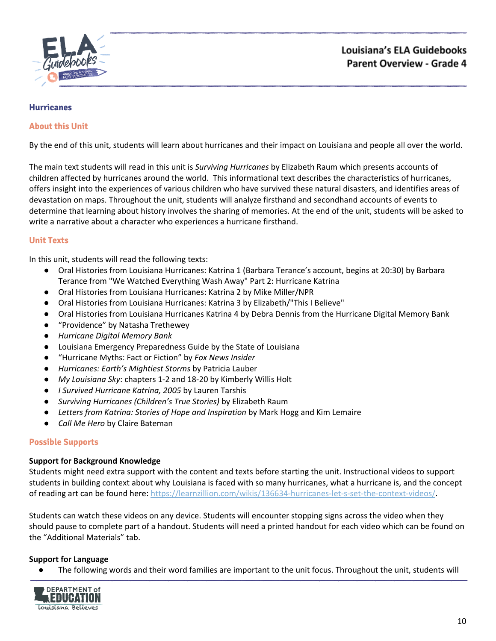

### <span id="page-9-0"></span>**Hurricanes**

## **About this Unit**

By the end of this unit, students will learn about hurricanes and their impact on Louisiana and people all over the world.

The main text students will read in this unit is *Surviving Hurricanes* by Elizabeth Raum which presents accounts of children affected by hurricanes around the world. This informational text describes the characteristics of hurricanes, offers insight into the experiences of various children who have survived these natural disasters, and identifies areas of devastation on maps. Throughout the unit, students will analyze firsthand and secondhand accounts of events to determine that learning about history involves the sharing of memories. At the end of the unit, students will be asked to write a narrative about a character who experiences a hurricane firsthand.

## **Unit Texts**

In this unit, students will read the following texts:

- Oral Histories from Louisiana Hurricanes: Katrina 1 (Barbara Terance's account, begins at 20:30) by Barbara Terance from "We Watched Everything Wash Away" Part 2: Hurricane Katrina
- Oral Histories from Louisiana Hurricanes: Katrina 2 by Mike Miller/NPR
- Oral Histories from Louisiana Hurricanes: Katrina 3 by Elizabeth/"This I Believe"
- Oral Histories from Louisiana Hurricanes Katrina 4 by Debra Dennis from the Hurricane Digital Memory Bank
- "Providence" by Natasha Trethewey
- *● Hurricane Digital Memory Bank*
- Louisiana Emergency Preparedness Guide by the State of Louisiana
- "Hurricane Myths: Fact or Fiction" by *Fox News Insider*
- *Hurricanes: Earth's Mightiest Storms* by Patricia Lauber
- *My Louisiana Sky*: chapters 1-2 and 18-20 by Kimberly Willis Holt
- *I Survived Hurricane Katrina, 2005* by Lauren Tarshis
- *Surviving Hurricanes (Children's True Stories)* by Elizabeth Raum
- *Letters from Katrina: Stories of Hope and Inspiration* by Mark Hogg and Kim Lemaire
- *Call Me Hero* by Claire Bateman

### **Possible Supports**

### **Support for Background Knowledge**

Students might need extra support with the content and texts before starting the unit. Instructional videos to support students in building context about why Louisiana is faced with so many hurricanes, what a hurricane is, and the concept of reading art can be found here: [https://learnzillion.com/wikis/136634-hurricanes-let-s-set-the-context-videos/.](https://learnzillion.com/wikis/136634-hurricanes-let-s-set-the-context-videos/)

Students can watch these videos on any device. Students will encounter stopping signs across the video when they should pause to complete part of a handout. Students will need a printed handout for each video which can be found on the "Additional Materials" tab.

### **Support for Language**

● The following words and their word families are important to the unit focus. Throughout the unit, students will